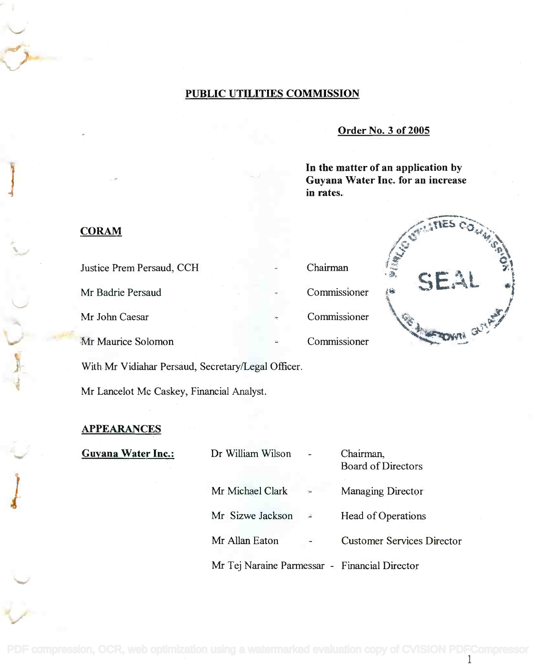## PUBLIC UTILITIES COMMISSION

#### Order No. 3 of 2005

In the matter of an application by In the matter of an application by Guyana Water Inc. for an increase Guyana Water Inc. for an increase in rates. in rates.



## **CORAM**

Justice Prem Persaud, CCH Chairman Mr Badrie Persaud Commissioner 4. SEAL Mr John Caesar Commissioner  $Mr$  Maurice Solomon  $\blacksquare$ With Mr Vidiahar Persaud, Secretary/Legal Officer.

Mr Lancelot Mc Caskey, Financial Analyst.

# **APPEARANCES**

Guyana Water Inc.:

| Dr William Wilson                             | Chairman,<br><b>Board of Directors</b> |
|-----------------------------------------------|----------------------------------------|
| Mr Michael Clark                              | Managing Director                      |
| Mr Sizwe Jackson                              | Head of Operations                     |
| Mr Allan Eaton                                | <b>Customer Services Director</b>      |
| Mr Tej Naraine Parmessar - Financial Director |                                        |

[PDF compression, OCR, web optimization using a watermarked evaluation copy of CVISION PDFCompressor](http://www.cvisiontech.com)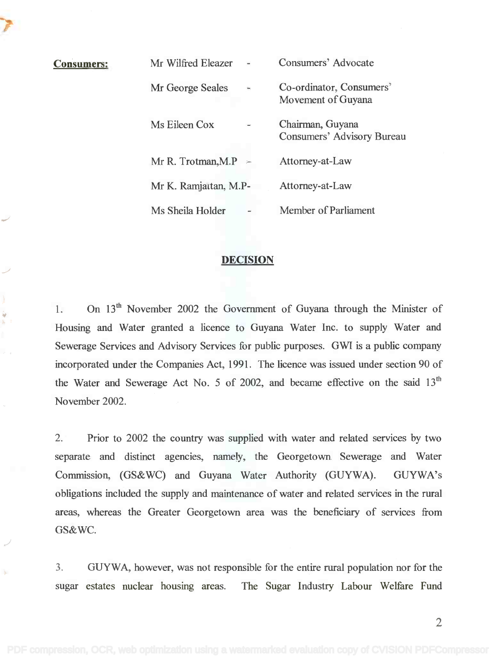| <b>Consumers:</b> | Mr Wilfred Eleazer                     | Consumers' Advocate                                   |
|-------------------|----------------------------------------|-------------------------------------------------------|
|                   | Mr George Seales<br>$\hat{\mathbf{m}}$ | Co-ordinator, Consumers'<br>Movement of Guyana        |
|                   | Ms Eileen Cox                          | Chairman, Guyana<br><b>Consumers' Advisory Bureau</b> |
|                   | Mr R. Trotman, M.P $\sim$              | Attorney-at-Law                                       |
|                   | Mr K. Ramjattan, M.P-                  | Attorney-at-Law                                       |
|                   | Ms Sheila Holder                       | Member of Parliament                                  |

#### DECISION

1. On 13<sup>th</sup> November 2002 the Government of Guyana through the Minister of Housing and Water granted a licence to Guyana Water Inc. to supply Water and Housing and Water granted a licence to Guyana Water Inc. to supply Water and Sewerage Services and Advisory Services for public purposes. GWI is a public company Sewerage Services and Advisory Services for public purposes. GWI is a public company incorporated under the Companies Act, 1991. The licence was issued under section 90 of incorporated under the Companies Act, 1991. The licence was issued under section 90 of the Water and Sewerage Act No. 5 of 2002, and became effective on the said  $13<sup>th</sup>$ November 2002. November 2002.

2. Prior to 2002 the country was supplied with water and related services by two 2. Prior to 2002 the country was supplied with water and related services by two separate and distinct agencies, namely, the Georgetown Sewerage and Water separate and distinct agencies, namely, the Georgetown Sewerage and Water Commission, (GS&WC) and Guyana Water Authority (GUYWA). GUYWA's obligations included the supply and maintenance of water and related services in the rural obligations included the supply and maintenance of water and related services in the rural areas, whereas the Greater Georgetown area was the beneficiary of services from areas, whereas the Greater Georgetown area was the beneficiary of services from GS&WC.

3. GUYWA, however, was not responsible for the entire rural population nor for the 3. GUYWA, however, was not responsible for the entire rural population nor for the sugar estates nuclear housing areas. The Sugar Industry Labour Welfare Fund sugar estates nuclear housing areas. The Sugar Industry Labour Welfare Fund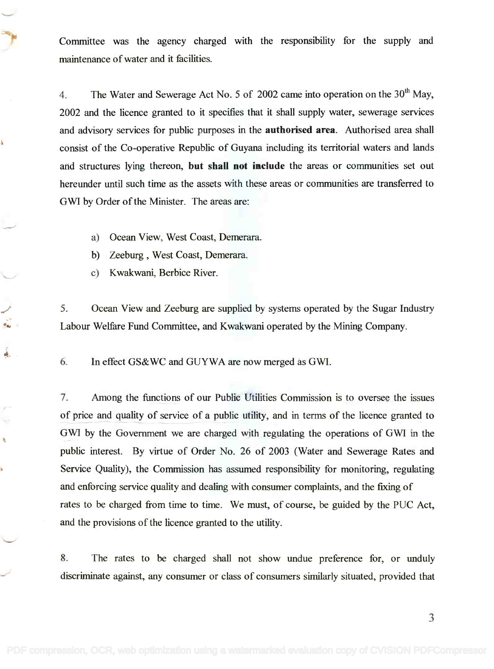Committee was the agency charged with the responsibility for the supply and Committee was the agency charged with the responsibility for the supply and maintenance of water and it facilities. maintenance of water and it facilities.

4. The Water and Sewerage Act No. 5 of 2002 came into operation on the  $30<sup>th</sup>$  May, 2002 and the licence granted to it specifies that it shall supply water, sewerage services 2002 and the licence granted to it specifies that it shall supply water, sewerage services and advisory services for public purposes in the authorised area. Authorised area shall and advisory services for public purposes in the **authorised** area. Authorised area shall consist of the Co-operative Republic of Guyana including its territorial waters and lands consist of the Co-operative Republic of Guyana including its territorial waters and lands and structures lying thereon, but shall not include the areas or communities set out hereunder until such time as the assets with these areas or communities are transferred to hereunder until such time as the assets with these areas or communities are transferred to GWI by Order of the Minister. The areas are: GWl by Order of the Minister. The areas are:

- a) Ocean View, West Coast, Demerara. a) Ocean View, West Coast, Demerara.
- b) Zeeburg , West Coast, Demerara. b) Zeeburg, West Coast, Demerara.
- c) Kwakwani, Berbice River. c) Kwakwani, Berbice River.

ś,

Ñ

5. Ocean View and Zeeburg are supplied by systems operated by the Sugar Industry 5. Ocean View and Zeeburg are supplied by systems operated by the Sugar Industry Labour Welfare Fund Committee, and Kwakwani operated by the Mining Company. Labour Welfare Fund Committee, and Kwakwani operated by the Mining Company.

6. In effect GS&WC and GUYWA are now merged as GWI.

7. Among the functions of our Public Utilities Commission is to oversee the issues 7. Among the functions of our Public Utilities Commission is to oversee the issues of price and quality of service of a public utility, and in terms of the licence granted to of price and quality of service of a public utility, and in terms of the licence granted to GWI by the Government we are charged with regulating the operations of GWI in the public interest. By virtue of Order No. 26 of 2003 (Water and Sewerage Rates and public interest. By virtue of Order No. 26 of 2003 (Water and Sewerage Rates and Service Quality), the Commission has assumed responsibility for monitoring, regulating Service Quality), the Commission has assumed responsibility for monitoring, regulating and enforcing service quality and dealing with consumer complaints, and the fixing of and enforcing service quality and dealing with consumer complaints, and the fixing of rates to be charged from time to time. We must, of course, be guided by the PUC Act, and the provisions of the licence granted to the utility. and the provisions of the licence granted to the utility.

8. The rates to be charged shall not show undue preference for, or unduly 8. The rates to be charged shall not show undue preference for, or unduly discriminate against, any consumer or class of consumers similarly situated, provided that discriminate against, any consumer or class of consumers similarly situated, provided that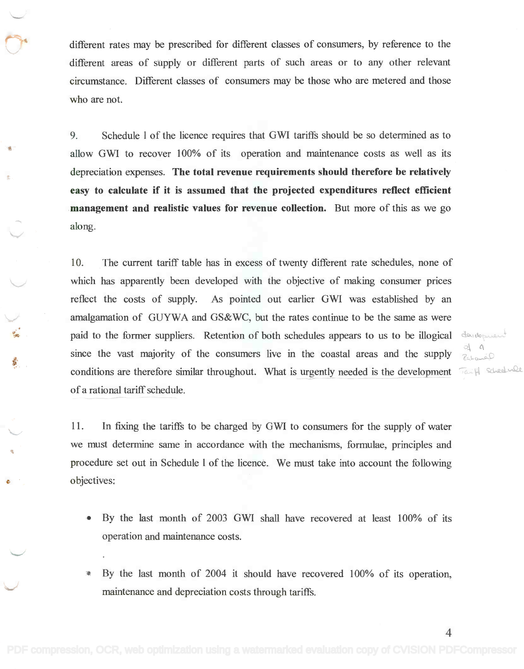different rates may be prescribed for different classes of consumers, by reference to the different rates may be prescribed for different classes of consumers, by reference to the different areas of supply or different parts of such areas or to any other relevant different areas of supply or different parts of such areas or to any other relevant circumstance. Different classes of consumers may be those who are metered and those circumstance. Different classes of consumers may be those who are metered and those who are not. who are not.

9. Schedule 1 of the licence requires that GWI tariffs should be so determined as to 9. Schedule I of the licence requires that GWI tariffs should be so determined as to allow GWI to recover 100% of its operation and maintenance costs as well as its allow GWI to recover 100% of its operation and maintenance costs as well as its depreciation expenses. The total revenue requirements should therefore be relatively easy to calculate if it is assumed that the projected expenditures reflect efficient management and realistic values for revenue collection. But more of this as we go **management and realistic values for revenue collection.** But more of this as we go along. along.

10. The current tariff table has in excess of twenty different rate schedules, none of 10. The current tariff table has in excess of twenty different rate schedules, none of which has apparently been developed with the objective of making consumer prices which has apparently been developed with the objective of making consumer prices reflect the costs of supply. As pointed out earlier GWI was established by an reflect the costs of supply. As pointed out earlier GWI was established by an amalgamation of GUYWA and GS&WC, but the rates continue to be the same as were amalgamation of GUYWA and GS&WC, but the rates continue to be the same as were paid to the former suppliers. Retention of both schedules appears to us to be illogical since the vast majority of the consumers live in the coastal areas and the supply  $\frac{1}{\ell_{\text{obs}}}$ conditions are therefore similar throughout. What is urgently needed is the development  $\sqrt{2}$ of a rational tariff schedule. of a rational tariff schedule.

11. In fixing the tariffs to be charged by GWI to consumers for the supply of water 11. In fixing the tariffs to be charged by GWI to consumers for the supply of water we must determine same in accordance with the mechanisms, formulae, principles and we must determine same in accordance with the mechanisms, formulae, principles and procedure set out in Schedule 1 of the licence. We must take into account the following procedure set out in Schedule I of the licence. We must take into account the following objectives: objectives:

- By the last month of 2003 GWI shall have recovered at least 100% of its By the last month of 2003 GWI shall have recovered at least 100% of its operation and maintenance costs. operation and maintenance costs.
- By the last month of 2004 it should have recovered 100% of its operation, By the last month of 2004 it should have recovered 100% of its operation, maintenance and depreciation costs through tariffs. maintenance and depreciation costs through tariffs.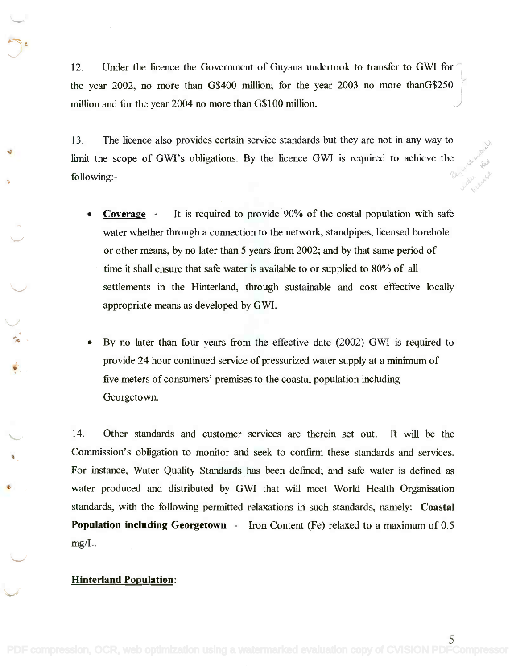12. Under the licence the Government of Guyana undertook to transfer to GWI for  $\gamma$ the year 2002, no more than G\$400 million; for the year 2003 no more thanG\$250 million and for the year 2004 no more than G\$100 million. million and for the year 2004 no more than G\$100 million and for the year 2004 no more than G\$1 00 million.

 $\overline{r}$ 

13. The licence also provides certain service standards but they are not in any way to limit the scope of GWI's obligations. By the licence GWI is required to achieve the following:- following:-

- Coverage It is required to provide 90% of the costal population with safe **• Coverage -** It is required to provide 90% of the costal population with safe water whether through a connection to the network, standpipes, licensed borehole water whether through a connection to the network, standpipes, licensed borehole or other means, by no later than 5 years from 2002; and by that same period of or other means, by no later than 5 years from 2002; and by that same period of time it shall ensure that safe water is available to or supplied to 80% of all time it shall ensure that safe water is available to or supplied to 80% of all settlements in the Hinterland, through sustainable and cost effective locally settlements in the Hinterland, through sustainable and cost effective locally appropriate means as developed by GWI. appropriate means as developed by GWI.
- By no later than four years from the effective date (2002) GWI is required to By no later than four years from the effective date (2002) GWI is required to provide 24 hour continued service of pressurized water supply at a minimum of provide 24 hour continued service of pressurized water supply at a minimum of five meters of consumers' premises to the coastal population including five meters of consumers' premises to the coastal population including Georgetown. Georgetown.

14. Other standards and customer services are therein set out. It will be the Commission's obligation to monitor and seek to confirm these standards and services. Commission's obligation to monitor and seek to confirm these standards and services. For instance, Water Quality Standards has been defined; and safe water is defined as For instance, Water Quality Standards has been defined; and safe water is defined as water produced and distributed by GWI that will meet World Health Organisation water produced and distributed by GWI that will meet World Health Organisation standards, with the following permitted relaxations in such standards, namely: Coastal standards, with the following permitted relaxations in such standards, namely: **Coastal Population including Georgetown** - Iron Content (Fe) relaxed to a maximum of 0.5 mg/L. mg/L.

#### Hinterland Population: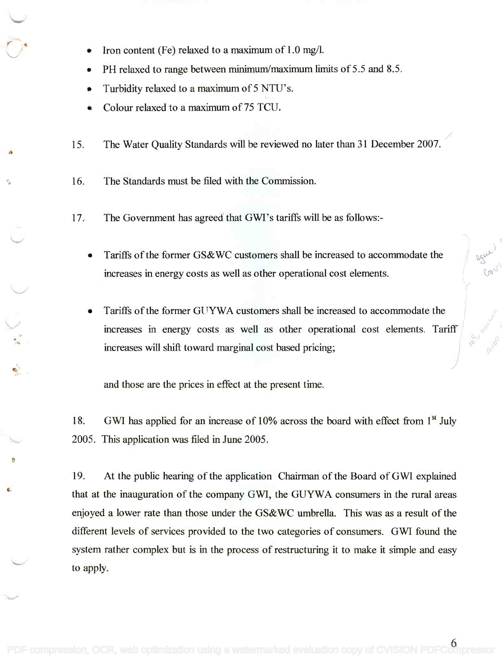- Iron content (Fe) relaxed to a maximum of 1.0 mg/l.
- PH relaxed to range between minimum/maximum limits of 5.5 and 8.5. PH relaxed to range between minimum/maximum limits of 5.5 and 8.5.
- Turbidity relaxed to a maximum of 5 NTU's. Turbidity relaxed to a maximum of5 NTU's.
- Colour relaxed to a maximum of 75 TCU.
- 15. The Water Quality Standards will be reviewed no later than 31 December 2007. 15. The Water Quality Standards will be reviewed no later than 31 December 2007.
- 16. The Standards must be filed with the Commission.
- 17. The Government has agreed that GWI's tariffs will be as follows:-
	- Tariffs of the former GS&WC customers shall be increased to accommodate the increases in energy costs as well as other operational cost elements.
	- Tariffs of the former GI TYWA customers shall be increased to accommodate the increases in energy costs as well as other operational cost elements. Tariff increases will shift toward marginal cost based pricing; increases will shift toward marginal cost based pricing;

and those are the prices in effect at the present time.

18. GWI has applied for an increase of 10% across the board with effect from 1<sup>st</sup> July 2005. This application was filed in June 2005. 2005. This application was filed in June 2005.

19. At the public hearing of the application Chairman of the Board of GWI explained 19. At the public hearing of the application Chairman of the Board ofGWI explained that at the inauguration of the company GWI, the GUYWA consumers in the rural areas that at the inauguration of the company GWI, the GUYWA consumers in the rural areas enjoyed a lower rate than those under the GS&WC umbrella. This was as a result of the enjoyed a lower rate than those under the GS& WC umbrella. This was as a result of the different levels of services provided to the two categories of consumers. GWI found the different levels of services provided to the two categories of consumers. GWI found the system rather complex but is in the process of restructuring it to make it simple and easy system rather complex but is in the process of restructuring it to make it simple and easy to apply. to apply.

 $6<sup>1</sup>$ 

/

,,' ~v *C::*  $\sigma$  0  $\circ$ ,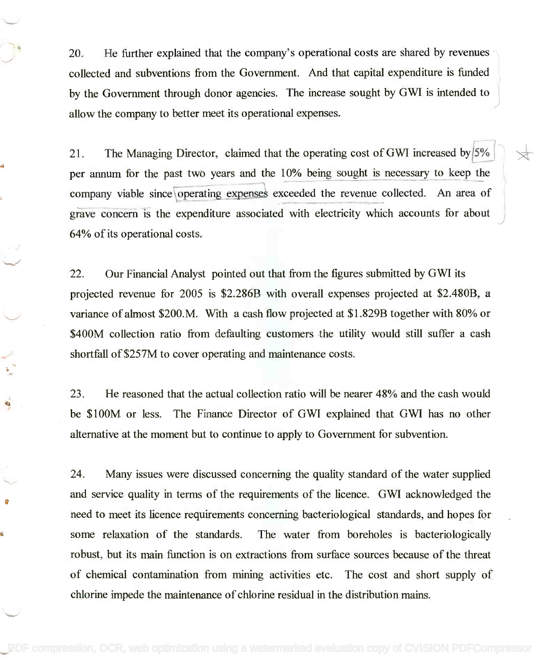20. He further explained that the company's operational costs are shared by revenues 20. He further explained that the company's operational costs are shared by revenues collected and subventions from the Government. And that capital expenditure is funded by the Government through donor agencies. The increase sought by GWI is intended to allow the company to better meet its operational expenses. allow the company to better meet its operational expenses.

21. The Managing Director, claimed that the operating cost of GWI increased by  $5\%$ per annum for the past two years and the 10% being sought is necessary to keep the per annum for the past two years and the 10% being sought is necessary to keep the company viable since operating expenses exceeded the revenue collected. An area of grave concern is the expenditure associated with electricity which accounts for about 64% of its operational costs. 64% of its operational costs.

22. Our Financial Analyst pointed out that from the figures submitted by GWI its 22. Our Financial Analyst pointed out that from the figures submitted by GWI its projected revenue for 2005 is \$2.286B with overall expenses projected at \$2.480B, a projected revenue for 2005 is \$2.286B with overall expenses projected at \$2.480B, a variance of almost \$200.M. With a cash flow projected at \$1.829B together with 80% or \$400M collection ratio from defaulting customers the utility would still suffer a cash \$400M collection ratio from defaulting customers the utility would still suffer a cash shortfall of \$257M to cover operating and maintenance costs. shortfall of \$257M to cover operating and maintenance costs.

23. He reasoned that the actual collection ratio will be nearer 48% and the cash would 23. He reasoned that the actual collection ratio will be nearer 48% and the cash would be \$100M or less. The Finance Director of GWI explained that GWI has no other alternative at the moment but to continue to apply to Government for subvention. alternative at the moment but to continue to apply to Government for subvention.

٠

24. Many issues were discussed concerning the quality standard of the water supplied 24. Many issues were discussed concerning the quality standard of the water supplied and service quality in terms of the requirements of the licence. GWI acknowledged the and service quality in terms of the requirements of the licence. GWI acknowledged the need to meet its licence requirements concerning bacteriological standards, and hopes for need to meet its licence requirements concerning bacteriological standards, and hopes for some relaxation of the standards. The water from boreholes is bacteriologically some relaxation of the standards. The water from boreholes is bacteriologically robust, but its main function is on extractions from surface sources because of the threat of chemical contamination from mining activities etc. The cost and short supply of chlorine impede the maintenance of chlorine residual in the distribution mains. chlorine impede the maintenance of chlorine residual in the distribution mains.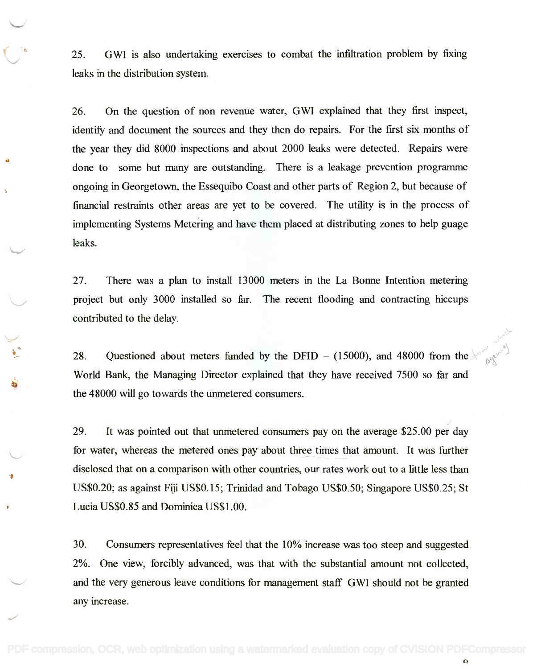25. GWI is also undertaking exercises to combat the infiltration problem by fixing 25. GWI is also undertaking exercises to combat the infiltration problem by fixing leaks in the distribution system. leaks in the distribution system.

26. On the question of non revenue water, GWI explained that they first inspect, 26. On the question of non revenue water, GWI explained that they first inspect, identify and document the sources and they then do repairs. For the first six months of identify and document the sources and they then do repairs. For the first six months of the year they did 8000 inspections and about 2000 leaks were detected. Repairs were the year they did 8000 inspections and about 2000 leaks were detected. Repairs were done to some but many are outstanding. There is a leakage prevention programme done to some but many are outstanding. There is a leakage prevention programme ongoing in Georgetown, the Essequibo Coast and other parts of Region 2, but because of financial restraints other areas are yet to be covered. The utility is in the process of implementing Systems Metering and have them placed at distributing zones to help guage implementing Systems Metering and have them placed at distributing zones to help guage leaks. leaks.

27. There was a plan to install 13000 meters in the La Bonne Intention metering 27. There was a plan to install 13000 meters in the La Bonne Intention metering project but only 3000 installed so far. The recent flooding and contracting hiccups project but only 3000 installed so far. The recent flooding and contracting hiccups contributed to the delay. contributed to the delay.

28. Questioned about meters funded by the DFID – (15000), and 48000 from the World Bank, the Managing Director explained that they have received 7500 so far and World Bank, the Managing Director explained that they have received 7500 so far and the 48000 will go towards the unmetered consumers. the 48000 will go towards the unmetered consumers.

29. It was pointed out that unmetered consumers pay on the average \$25.00 per day 29. It was pointed out that unmetered consumers pay on the average \$25.00 per day for water, whereas the metered ones pay about three times that amount. It was further for water, whereas the metered ones pay about three times that amount. It was further disclosed that on a comparison with other countries, our rates work out to a little less than disclosed that on a comparison with other countries, our rates work out to a little less than US\$0.20; as against Fiji US\$0.15; Trinidad and Tobago US\$0.50; Singapore US\$0.25; St US\$0.20; as against Fiji US\$0.15; Trinidad and Tobago US\$0.50; Singapore US\$0.25; St Lucia US\$0.85 and Dominica US\$1.00. Lucia US\$0.85 and Dominica US\$1.00.

30. Consumers representatives feel that the 10% increase was too steep and suggested 30. Consumers representatives feel that the 10% increase was too steep and suggested 2%. One view, forcibly advanced, was that with the substantial amount not collected, 2%. One view, forcibly advanced, was that with the substantial amount not collected, and the very generous leave conditions for management staff GWI should not be granted and the very generous leave conditions for management staff GWI should not be granted any increase. any increase.

 $\Omega$ 

,/

 $v^{\prime}$ *,r.l ~~)*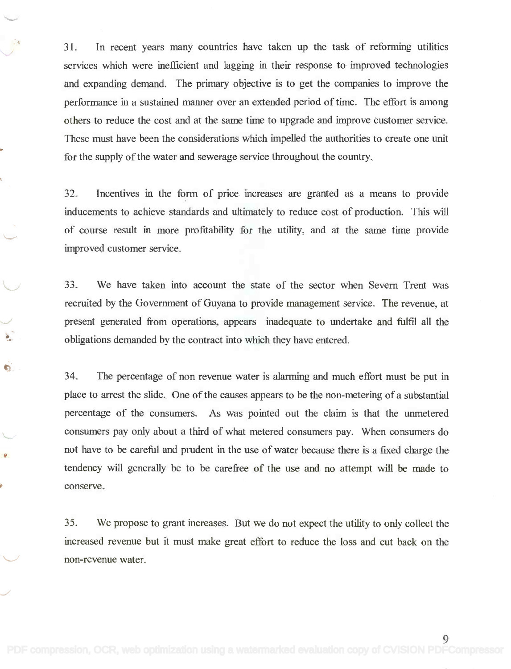31. In recent years many countries have taken up the task of reforming utilities 31. In recent years many countries have taken up the task of reforming utilities services which were inefficient and lagging in their response to improved technologies services which were inefficient and lagging in their response to improved technologies and expanding demand. The primary objective is to get the companies to improve the and expanding demand. The primary objective is to get the companies to improve the performance in a sustained manner over an extended period of time. The effort is among performance in a sustained manner over an extended period of time. The effort is among others to reduce the cost and at the same time to upgrade and improve customer service. others to reduce the cost and at the same time to upgrade and improve customer service. These must have been the considerations which impelled the authorities to create one unit These must have been the considerations which impelled the authorities to create one unit for the supply of the water and sewerage service throughout the country. for the supply of the water and sewerage service throughout the country.

32. Incentives in the form of price increases are granted as a means to provide inducements to achieve standards and ultimately to reduce cost of production. This will inducements to achieve standards and ultimately to reduce cost of production. This will of course result in more profitability for the utility, and at the same time provide of course result in more profitability for the utility, and at the same time provide improved customer service. improved customer service.

33. We have taken into account the state of the sector when Severn Trent was 33. We have taken into account the state of the sector when Severn Trent was recruited by the Government of Guyana to provide management service. The revenue, at present generated from operations, appears inadequate to undertake and fulfil all the present generated from operations, appears inadequate to undertake and fulfil all the obligations demanded by the contract into which they have entered. obligations demanded by the contract into which they have entered.

 $\blacksquare$ 

34. The percentage of non revenue water is alarming and much effort must be put in 34. The percentage of non revenue water is alarming and much effort must be put in place to arrest the slide. One of the causes appears to be the non-metering of a substantial place to arrest the slide. One of the causes appears to be the non-metering of a substantial percentage of the consumers. As was pointed out the claim is that the unmetered percentage of the consumers. As was pointed out the claim is that the unmetered consumers pay only about a third of what metered consumers pay. When consumers do consumers pay only about a third of what metered consumers pay. When consumers do not have to be careful and prudent in the use of water because there is a fixed charge the not have to be careful and prudent in the use of water because there is a fixed charge the tendency will generally be to be carefree of the use and no attempt will be made to tendency will generally be to be carefree of the use and no attempt will be made to conserve.

35. We propose to grant increases. But we do not expect the utility to only collect the 35. We propose to grant increases. But we do not expect the utility to only collect the increased revenue but it must make great effort to reduce the loss and cut back on the increased revenue but it must make great effort to reduce the loss and cut back on the non-revenue water. non-revenue water.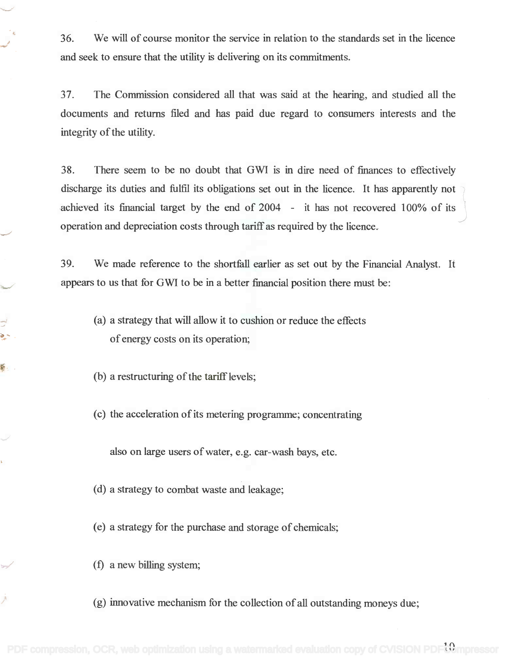36. We will of course monitor the service in relation to the standards set in the licence 36. We will of course monitor the service in relation to the standards set in the licence and seek to ensure that the utility is delivering on its commitments. and seek to ensure that the utility is delivering on its commitments.

37. The Commission considered all that was said at the hearing, and studied all the 37. The Commission considered all that was said at the hearing, and studied all the documents and returns filed and has paid due regard to consumers interests and the documents and returns filed and has paid due regard to consumers interests and the integrity of the utility. integrity of the utility.

38. There seem to be no doubt that GWI is in dire need of finances to effectively 38. There seem to be no doubt that GWI is in dire need of finances to effectively discharge its duties and fulfil its obligations set out in the licence. It has apparently not achieved its financial target by the end of 2004 - it has not recovered 100% of its operation and depreciation costs through tariff as required by the licence. operation and depreciation costs through tariff as required by the licence. *J*

39. We made reference to the shortfall earlier as set out by the Financial Analyst. It 39. We made reference to the shortfall earlier as set out by the Financial Analyst. It appears to us that for GWI to be in a better financial position there must be: appears to us that for GWI to be in a better financial position there must be:

- (a) a strategy that will allow it to cushion or reduce the effects (a) a strategy that will allow it to cushion or reduce the effects of energy costs on its operation; of energy costs on its operation;
- (b) a restructuring of the tariff levels;

 $\mathbb{R}^3$ - ف

 $\mathbf{S}$ 

k.

(c) the acceleration of its metering programme; concentrating

also on large users of water, e.g. car-wash bays, etc.

- (d) a strategy to combat waste and leakage;
- (e) a strategy for the purchase and storage of chemicals;
- (f) a new billing system;
- (g) innovative mechanism for the collection of all outstanding moneys due;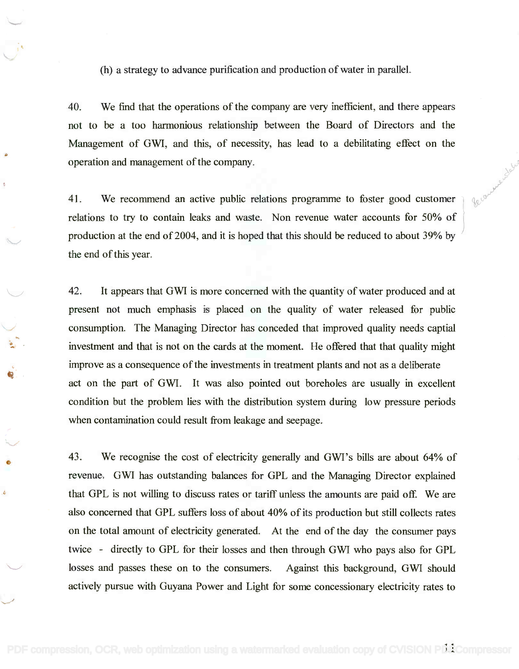(h) a strategy to advance purification and production of water in parallel.

40. We find that the operations of the company are very inefficient, and there appears 40. We find that the operations of the company are very inefficient, and there appears not to be a too harmonious relationship between the Board of Directors and the not to be a too harmonious relationship between the Board of Directors and the Management of GWI, and this, of necessity, has lead to a debilitating effect on the Management of GWI, and this, of necessity, has lead to a debilitating effect on the operation and management of the company. operation and management of the company.

41. We recommend an active public relations programme to foster good customer  $\int \phi \phi$ relations to try to contain leaks and waste. Non revenue water accounts for 50% of production at the end of 2004, and it is hoped that this should be reduced to about 39% by the end of this year. the end of this year.

42. It appears that GWI is more concerned with the quantity of water produced and at 42. It appears that GWI is more concerned with the quantity of water produced and at present not much emphasis is placed on the quality of water released for public present not much emphasis is placed on the quality of water released for public consumption. The Managing Director has conceded that improved quality needs captial consumption. The Managing Director has conceded that improved quality needs captial investment and that is not on the cards at the moment. He offered that that quality might investment and that is not on the cards at the moment. He offered that that quality might improve as a consequence of the investments in treatment plants and not as a deliberate improve as a consequence ofthe investments in treatment plants and not as a deliberate act on the part of GWI. It was also pointed out boreholes are usually in excellent act on the part of GWI. It was also pointed out boreholes are usually in excellent condition but the problem lies with the distribution system during low pressure periods condition but the problem lies with the distribution system during low pressure periods when contamination could result from leakage and seepage. when contamination could result from leakage and seepage.

43. We recognise the cost of electricity generally and GWI's bills are about 64% of 43. We recognise the cost of electricity generally and GWI's bills are about 64% of revenue. GWI has outstanding balances for GPL and the Managing Director explained that GPL is not willing to discuss rates or tariff unless the amounts are paid off. We are that GPL is not willing to discuss rates or tariff unless the amounts are paid off. We are also concerned that GPL suffers loss of about 40% of its production but still collects rates also concerned that GPL suffers loss of about 40% of its production but still collects rates on the total amount of electricity generated. At the end of the day the consumer pays on the total amount of electricity generated. At the end of the day the consumer pays twice - directly to GPL for their losses and then through GWI who pays also for GPL losses and passes these on to the consumers. Against this background, GWI should losses and passes these on to the consumers. Against this background, GWI should actively pursue with Guyana Power and Light for some concessionary electricity rates to actively pursue with Guyana Power and Light for some concessionary electricity rates to

Â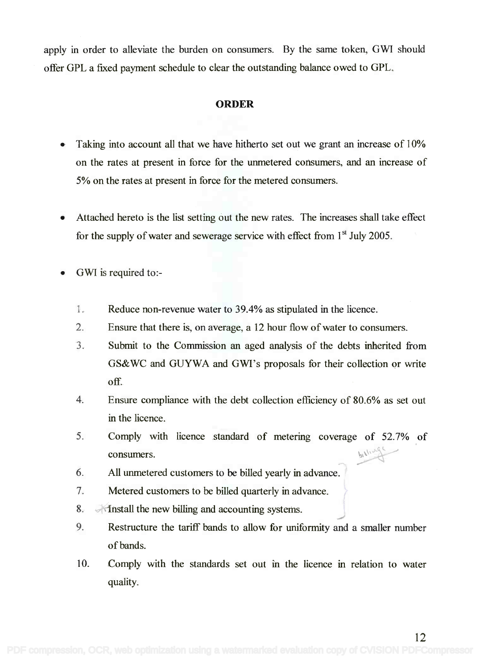apply in order to alleviate the burden on consumers. By the same token, GWI should apply in order to alleviate the burden on consumers. By the same token, GWI should offer GPL a fixed payment schedule to clear the outstanding balance owed to GPL. offer GPL a fixed payment schedule to clear the outstanding balance owed to GPL.

### ORDER

- Taking into account all that we have hitherto set out we grant an increase of 10% Taking into account all that we have hitherto set out we grant an increase of 10% on the rates at present in force for the unmetered consumers, and an increase of 5% on the rates at present in force for the metered consumers. 5% on the rates at present in force for the metered consumers.
- Attached hereto is the list setting out the new rates. The increases shall take effect for the supply of water and sewerage service with effect from  $1<sup>st</sup>$  July 2005.
- GWI is required to:-
	- 1. Reduce non-revenue water to 39.4% as stipulated in the licence. Reduce non-revenue water to 39.4% as stipulated in the licence.
	- 2. Ensure that there is, on average, a 12 hour flow of water to consumers. Ensure that there is, on average, a 12 hour flow of water to consumers.
	- 3. Submit to the Commission an aged analysis of the debts inherited from Submit to the Commission an aged analysis of the debts inherited from GS&WC and GUYWA and GWI's proposals for their collection or write GS&WC and GUYWA and GWI's proposals for their collection or write off. off
	- 4. Ensure compliance with the debt collection efficiency of 80.6% as set out Ensure compliance with the debt collection efficiency of 80.6% as set out in the licence. in the licence.
	- 5. Comply with licence standard of metering coverage of 52.7% of Comply with licence standard of metering coverage of 52.7% of  $\blacksquare$ consumers.  $\blacksquare$
	- 6. All unmetered customers to be billed yearly in advance. All unmetered customers to be billed yearly in advance.
	- 7. Metered customers to be billed quarterly in advance. Metered customers to be billed quarterly in advance. /
	- 8. A finstall the new billing and accounting systems.
	- 8. A finstall the new billing and accounting systems.<br>9. Restructure the tariff bands to allow for uniformity and a smaller number of bands. of bands.
	- 10. Comply with the standards set out in the licence in relation to water quality. quality.

12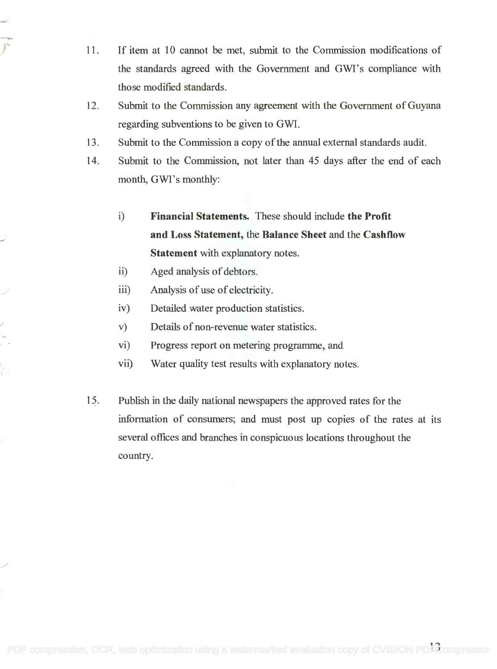- 11. If item at 10 cannot be met, submit to the Commission modifications of If item at 10 cannot be met, submit to the Commission modifications of the standards agreed with the Government and GWI's compliance with the standards agreed with the Government and GWI's compliance with those modified standards. those modified standards.
- 12. Submit to the Commission any agreement with the Government of Guyana Submit to the Commission any agreement with the Government of Guyana regarding subventions to be given to GWI. regarding subventions to be given to GWI.
- 13. Submit to the Commission a copy of the annual external standards audit. Submit to the Commission a copy of the annual external standards audit. 13.
- 14. Submit to the Commission, not later than 45 days after the end of each Submit to the Commission, not later than 45 days after the end of each month, GWI's monthly: month, GWI's monthly: 14.
	- i) Financial Statements. These should include the Profit Financial Statements. These should include the Profit and Loss Statement, the Balance Sheet and the Cashflow and Loss Statement, the Balance Sheet and the Cashflow Statement with explanatory notes. Statement with explanatory notes.
	- ii) Aged analysis of debtors. Aged analysis of debtors. ii)
	- iii) Analysis of use of electricity. Analysis of use of electricity. iii)
	- iv) Detailed water production statistics. Detailed water production statistics. iv)
	- v) Details of non-revenue water statistics. Details of non-revenue water statistics. v)
	- vi) Progress report on metering programme, and Progress report on metering programme, and vi)
	- vii) Water quality test results with explanatory notes. Water quality test results with explanatory notes. vii)
- 15. Publish in the daily national newspapers the approved rates for the 15. Publish in the daily national newspapers the approved rates for the information of consumers; and must post up copies of the rates at its information of consumers; and must post up copies of the rates at its several offices and branches in conspicuous locations throughout the several offices and branches in conspicuous locations throughout the country. country.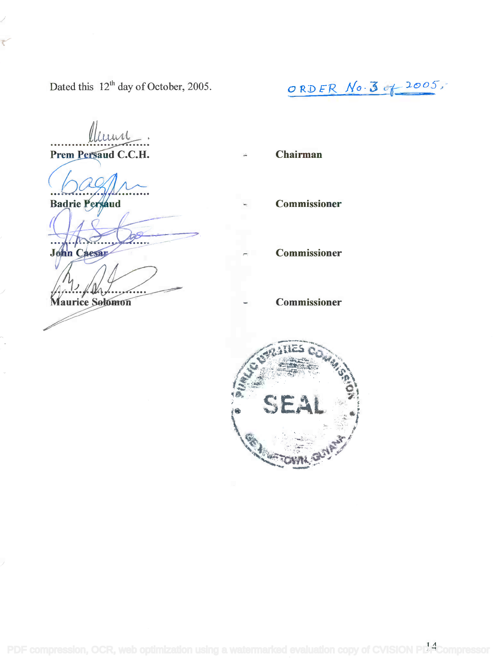Dated this  $12^{th}$  day of October, 2005.

lluune Prem Persaud C.C.H.

**Badrie Persaud** 

**John Caesar** 

aurice Solomon

RD  $ER$   $No. 3 of 2005$ ,

Commissioner

Chairman

Commissioner

Commissioner